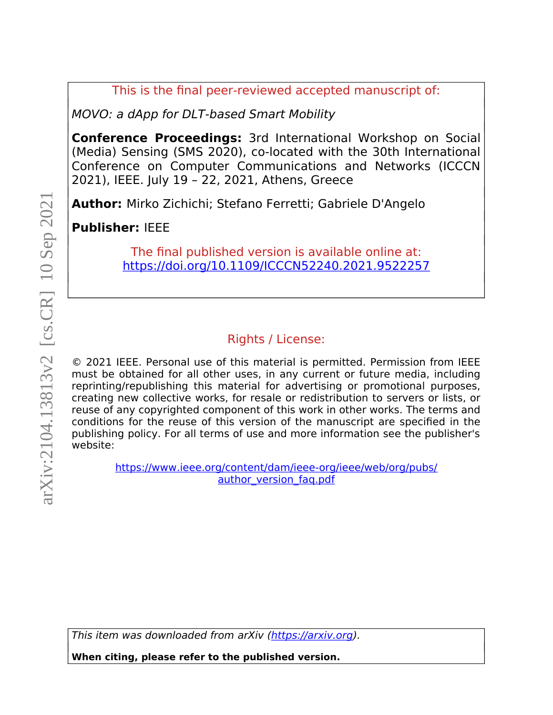This is the final peer-reviewed accepted manuscript of:

MOVO: a dApp for DLT-based Smart Mobility

**Conference Proceedings:** 3rd International Workshop on Social (Media) Sensing (SMS 2020), co-located with the 30th International Conference on Computer Communications and Networks (ICCCN 2021), IEEE. July 19 – 22, 2021, Athens, Greece

**Author:** Mirko Zichichi; Stefano Ferretti; Gabriele D'Angelo

**Publisher:** IEEE

The final published version is available online at: https://doi.org/10.1109/ICCCN52240.2021.9522257

## Rights / License:

© 2021 IEEE. Personal use of this material is permitted. Permission from IEEE must be obtained for all other uses, in any current or future media, including reprinting/republishing this material for advertising or promotional purposes, creating new collective works, for resale or redistribution to servers or lists, or reuse of any copyrighted component of this work in other works. The terms and conditions for the reuse of this version of the manuscript are specified in the publishing policy. For all terms of use and more information see the publisher's website: **When citing, please refer to the published version.** arXiv:2104.13813v2 [cs.CR] 10 Sep 2021

https://www.ieee.org/content/dam/ieee-org/ieee/web/org/pubs/ author version faq.pdf

This item was downloaded from arXiv (https://arxiv.org).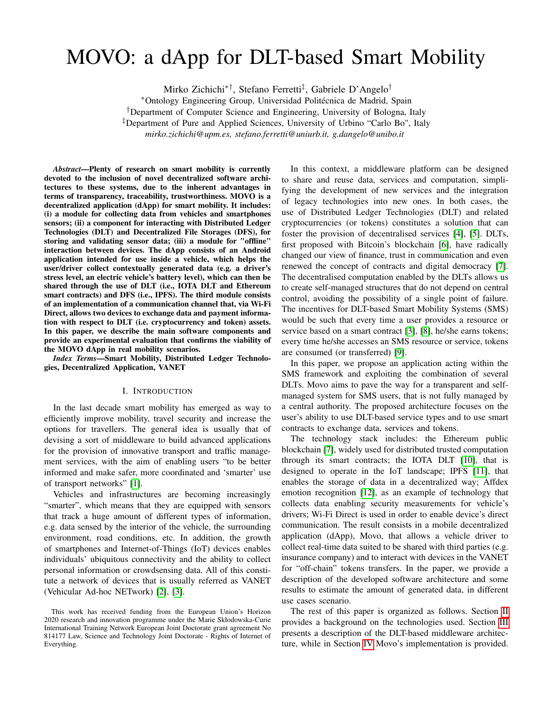# MOVO: a dApp for DLT-based Smart Mobility

Mirko Zichichi∗†, Stefano Ferretti‡ , Gabriele D'Angelo†

<sup>∗</sup>Ontology Engineering Group, Universidad Politécnica de Madrid, Spain

†Department of Computer Science and Engineering, University of Bologna, Italy

‡Department of Pure and Applied Sciences, University of Urbino "Carlo Bo", Italy

*mirko.zichichi@upm.es, stefano.ferretti@uniurb.it, g.dangelo@unibo.it*

*Abstract*—Plenty of research on smart mobility is currently devoted to the inclusion of novel decentralized software architectures to these systems, due to the inherent advantages in terms of transparency, traceability, trustworthiness. MOVO is a decentralized application (dApp) for smart mobility. It includes: (i) a module for collecting data from vehicles and smartphones sensors; (ii) a component for interacting with Distributed Ledger Technologies (DLT) and Decentralized File Storages (DFS), for storing and validating sensor data; (iii) a module for "offline" interaction between devices. The dApp consists of an Android application intended for use inside a vehicle, which helps the user/driver collect contextually generated data (e.g. a driver's stress level, an electric vehicle's battery level), which can then be shared through the use of DLT (i.e., IOTA DLT and Ethereum smart contracts) and DFS (i.e., IPFS). The third module consists of an implementation of a communication channel that, via Wi-Fi Direct, allows two devices to exchange data and payment information with respect to DLT (i.e. cryptocurrency and token) assets. In this paper, we describe the main software components and provide an experimental evaluation that confirms the viability of the MOVO dApp in real mobility scenarios.

*Index Terms*—Smart Mobility, Distributed Ledger Technologies, Decentralized Application, VANET

#### I. INTRODUCTION

In the last decade smart mobility has emerged as way to efficiently improve mobility, travel security and increase the options for travellers. The general idea is usually that of devising a sort of middleware to build advanced applications for the provision of innovative transport and traffic management services, with the aim of enabling users "to be better informed and make safer, more coordinated and 'smarter' use of transport networks" [\[1\]](#page-6-0).

Vehicles and infrastructures are becoming increasingly "smarter", which means that they are equipped with sensors that track a huge amount of different types of information, e.g. data sensed by the interior of the vehicle, the surrounding environment, road conditions, etc. In addition, the growth of smartphones and Internet-of-Things (IoT) devices enables individuals' ubiquitous connectivity and the ability to collect personal information or crowdsensing data. All of this constitute a network of devices that is usually referred as VANET (Vehicular Ad-hoc NETwork) [\[2\]](#page-6-1), [\[3\]](#page-6-2).

In this context, a middleware platform can be designed to share and reuse data, services and computation, simplifying the development of new services and the integration of legacy technologies into new ones. In both cases, the use of Distributed Ledger Technologies (DLT) and related cryptocurrencies (or tokens) constitutes a solution that can foster the provision of decentralised services [\[4\]](#page-6-3), [\[5\]](#page-6-4). DLTs, first proposed with Bitcoin's blockchain [\[6\]](#page-6-5), have radically changed our view of finance, trust in communication and even renewed the concept of contracts and digital democracy [\[7\]](#page-6-6). The decentralised computation enabled by the DLTs allows us to create self-managed structures that do not depend on central control, avoiding the possibility of a single point of failure. The incentives for DLT-based Smart Mobility Systems (SMS) would be such that every time a user provides a resource or service based on a smart contract [\[3\]](#page-6-2), [\[8\]](#page-6-7), he/she earns tokens; every time he/she accesses an SMS resource or service, tokens are consumed (or transferred) [\[9\]](#page-6-8).

In this paper, we propose an application acting within the SMS framework and exploiting the combination of several DLTs. Movo aims to pave the way for a transparent and selfmanaged system for SMS users, that is not fully managed by a central authority. The proposed architecture focuses on the user's ability to use DLT-based service types and to use smart contracts to exchange data, services and tokens.

The technology stack includes: the Ethereum public blockchain [\[7\]](#page-6-6), widely used for distributed trusted computation through its smart contracts; the IOTA DLT [\[10\]](#page-6-9), that is designed to operate in the IoT landscape; IPFS [\[11\]](#page-6-10), that enables the storage of data in a decentralized way; Affdex emotion recognition [\[12\]](#page-6-11), as an example of technology that collects data enabling security measurements for vehicle's drivers; Wi-Fi Direct is used in order to enable device's direct communication. The result consists in a mobile decentralized application (dApp), Movo, that allows a vehicle driver to collect real-time data suited to be shared with third parties (e.g. insurance company) and to interact with devices in the VANET for "off-chain" tokens transfers. In the paper, we provide a description of the developed software architecture and some results to estimate the amount of generated data, in different use cases scenario.

The rest of this paper is organized as follows. Section [II](#page-2-0) provides a background on the technologies used. Section [III](#page-3-0) presents a description of the DLT-based middleware architecture, while in Section [IV](#page-3-1) Movo's implementation is provided.

This work has received funding from the European Union's Horizon 2020 research and innovation programme under the Marie Skłodowska-Curie International Training Network European Joint Doctorate grant agreement No 814177 Law, Science and Technology Joint Doctorate - Rights of Internet of Everything.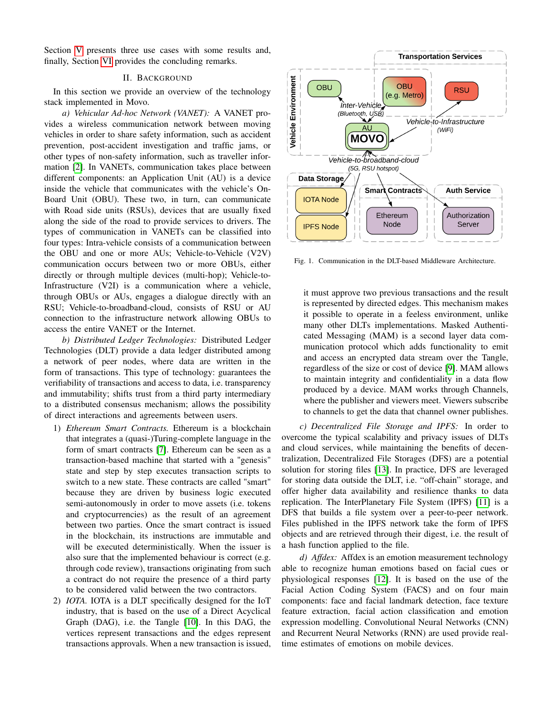Section [V](#page-4-0) presents three use cases with some results and, finally, Section [VI](#page-6-12) provides the concluding remarks.

#### II. BACKGROUND

<span id="page-2-0"></span>In this section we provide an overview of the technology stack implemented in Movo.

*a) Vehicular Ad-hoc Network (VANET):* A VANET provides a wireless communication network between moving vehicles in order to share safety information, such as accident prevention, post-accident investigation and traffic jams, or other types of non-safety information, such as traveller information [\[2\]](#page-6-1). In VANETs, communication takes place between different components: an Application Unit (AU) is a device inside the vehicle that communicates with the vehicle's On-Board Unit (OBU). These two, in turn, can communicate with Road side units (RSUs), devices that are usually fixed along the side of the road to provide services to drivers. The types of communication in VANETs can be classified into four types: Intra-vehicle consists of a communication between the OBU and one or more AUs; Vehicle-to-Vehicle (V2V) communication occurs between two or more OBUs, either directly or through multiple devices (multi-hop); Vehicle-to-Infrastructure (V2I) is a communication where a vehicle, through OBUs or AUs, engages a dialogue directly with an RSU; Vehicle-to-broadband-cloud, consists of RSU or AU connection to the infrastructure network allowing OBUs to access the entire VANET or the Internet.

*b) Distributed Ledger Technologies:* Distributed Ledger Technologies (DLT) provide a data ledger distributed among a network of peer nodes, where data are written in the form of transactions. This type of technology: guarantees the verifiability of transactions and access to data, i.e. transparency and immutability; shifts trust from a third party intermediary to a distributed consensus mechanism; allows the possibility of direct interactions and agreements between users.

- 1) *Ethereum Smart Contracts.* Ethereum is a blockchain that integrates a (quasi-)Turing-complete language in the form of smart contracts [\[7\]](#page-6-6). Ethereum can be seen as a transaction-based machine that started with a "genesis" state and step by step executes transaction scripts to switch to a new state. These contracts are called "smart" because they are driven by business logic executed semi-autonomously in order to move assets (i.e. tokens and cryptocurrencies) as the result of an agreement between two parties. Once the smart contract is issued in the blockchain, its instructions are immutable and will be executed deterministically. When the issuer is also sure that the implemented behaviour is correct (e.g. through code review), transactions originating from such a contract do not require the presence of a third party to be considered valid between the two contractors.
- 2) *IOTA.* IOTA is a DLT specifically designed for the IoT industry, that is based on the use of a Direct Acyclical Graph (DAG), i.e. the Tangle [\[10\]](#page-6-9). In this DAG, the vertices represent transactions and the edges represent transactions approvals. When a new transaction is issued,



<span id="page-2-1"></span>Fig. 1. Communication in the DLT-based Middleware Architecture.

it must approve two previous transactions and the result is represented by directed edges. This mechanism makes it possible to operate in a feeless environment, unlike many other DLTs implementations. Masked Authenticated Messaging (MAM) is a second layer data communication protocol which adds functionality to emit and access an encrypted data stream over the Tangle, regardless of the size or cost of device [\[9\]](#page-6-8). MAM allows to maintain integrity and confidentiality in a data flow produced by a device. MAM works through Channels, where the publisher and viewers meet. Viewers subscribe to channels to get the data that channel owner publishes.

*c) Decentralized File Storage and IPFS:* In order to overcome the typical scalability and privacy issues of DLTs and cloud services, while maintaining the benefits of decentralization, Decentralized File Storages (DFS) are a potential solution for storing files [\[13\]](#page-6-13). In practice, DFS are leveraged for storing data outside the DLT, i.e. "off-chain" storage, and offer higher data availability and resilience thanks to data replication. The InterPlanetary File System (IPFS) [\[11\]](#page-6-10) is a DFS that builds a file system over a peer-to-peer network. Files published in the IPFS network take the form of IPFS objects and are retrieved through their digest, i.e. the result of a hash function applied to the file.

*d) Affdex:* Affdex is an emotion measurement technology able to recognize human emotions based on facial cues or physiological responses [\[12\]](#page-6-11). It is based on the use of the Facial Action Coding System (FACS) and on four main components: face and facial landmark detection, face texture feature extraction, facial action classification and emotion expression modelling. Convolutional Neural Networks (CNN) and Recurrent Neural Networks (RNN) are used provide realtime estimates of emotions on mobile devices.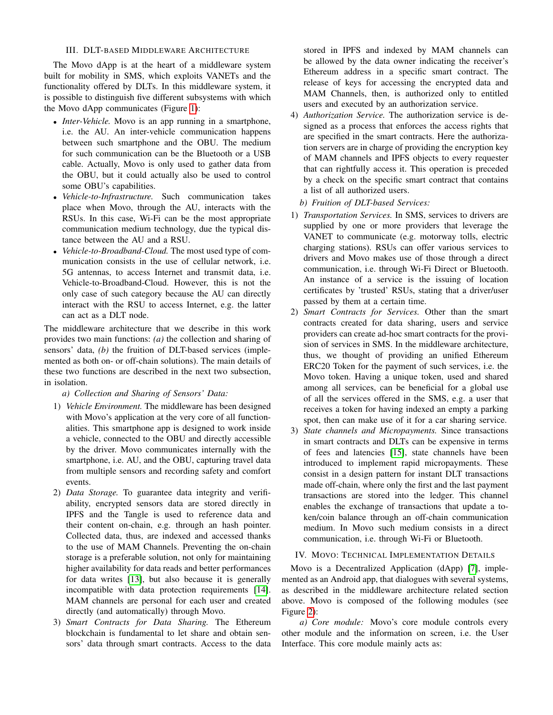### III. DLT-BASED MIDDLEWARE ARCHITECTURE

<span id="page-3-0"></span>The Movo dApp is at the heart of a middleware system built for mobility in SMS, which exploits VANETs and the functionality offered by DLTs. In this middleware system, it is possible to distinguish five different subsystems with which the Movo dApp communicates (Figure [1\)](#page-2-1):

- *Inter-Vehicle.* Movo is an app running in a smartphone, i.e. the AU. An inter-vehicle communication happens between such smartphone and the OBU. The medium for such communication can be the Bluetooth or a USB cable. Actually, Movo is only used to gather data from the OBU, but it could actually also be used to control some OBU's capabilities.
- *Vehicle-to-Infrastructure.* Such communication takes place when Movo, through the AU, interacts with the RSUs. In this case, Wi-Fi can be the most appropriate communication medium technology, due the typical distance between the AU and a RSU.
- *Vehicle-to-Broadband-Cloud.* The most used type of communication consists in the use of cellular network, i.e. 5G antennas, to access Internet and transmit data, i.e. Vehicle-to-Broadband-Cloud. However, this is not the only case of such category because the AU can directly interact with the RSU to access Internet, e.g. the latter can act as a DLT node.

The middleware architecture that we describe in this work provides two main functions: *(a)* the collection and sharing of sensors' data, *(b)* the fruition of DLT-based services (implemented as both on- or off-chain solutions). The main details of these two functions are described in the next two subsection, in isolation.

*a) Collection and Sharing of Sensors' Data:*

- 1) *Vehicle Environment.* The middleware has been designed with Movo's application at the very core of all functionalities. This smartphone app is designed to work inside a vehicle, connected to the OBU and directly accessible by the driver. Movo communicates internally with the smartphone, i.e. AU, and the OBU, capturing travel data from multiple sensors and recording safety and comfort events.
- 2) *Data Storage.* To guarantee data integrity and verifiability, encrypted sensors data are stored directly in IPFS and the Tangle is used to reference data and their content on-chain, e.g. through an hash pointer. Collected data, thus, are indexed and accessed thanks to the use of MAM Channels. Preventing the on-chain storage is a preferable solution, not only for maintaining higher availability for data reads and better performances for data writes [\[13\]](#page-6-13), but also because it is generally incompatible with data protection requirements [\[14\]](#page-6-14). MAM channels are personal for each user and created directly (and automatically) through Movo.
- 3) *Smart Contracts for Data Sharing.* The Ethereum blockchain is fundamental to let share and obtain sensors' data through smart contracts. Access to the data

stored in IPFS and indexed by MAM channels can be allowed by the data owner indicating the receiver's Ethereum address in a specific smart contract. The release of keys for accessing the encrypted data and MAM Channels, then, is authorized only to entitled users and executed by an authorization service.

- 4) *Authorization Service.* The authorization service is designed as a process that enforces the access rights that are specified in the smart contracts. Here the authorization servers are in charge of providing the encryption key of MAM channels and IPFS objects to every requester that can rightfully access it. This operation is preceded by a check on the specific smart contract that contains a list of all authorized users.
	- *b) Fruition of DLT-based Services:*
- 1) *Transportation Services.* In SMS, services to drivers are supplied by one or more providers that leverage the VANET to communicate (e.g. motorway tolls, electric charging stations). RSUs can offer various services to drivers and Movo makes use of those through a direct communication, i.e. through Wi-Fi Direct or Bluetooth. An instance of a service is the issuing of location certificates by 'trusted' RSUs, stating that a driver/user passed by them at a certain time.
- 2) *Smart Contracts for Services.* Other than the smart contracts created for data sharing, users and service providers can create ad-hoc smart contracts for the provision of services in SMS. In the middleware architecture, thus, we thought of providing an unified Ethereum ERC20 Token for the payment of such services, i.e. the Movo token. Having a unique token, used and shared among all services, can be beneficial for a global use of all the services offered in the SMS, e.g. a user that receives a token for having indexed an empty a parking spot, then can make use of it for a car sharing service.
- 3) *State channels and Micropayments.* Since transactions in smart contracts and DLTs can be expensive in terms of fees and latencies [\[15\]](#page-6-15), state channels have been introduced to implement rapid micropayments. These consist in a design pattern for instant DLT transactions made off-chain, where only the first and the last payment transactions are stored into the ledger. This channel enables the exchange of transactions that update a token/coin balance through an off-chain communication medium. In Movo such medium consists in a direct communication, i.e. through Wi-Fi or Bluetooth.

#### <span id="page-3-1"></span>IV. MOVO: TECHNICAL IMPLEMENTATION DETAILS

Movo is a Decentralized Application (dApp) [\[7\]](#page-6-6), implemented as an Android app, that dialogues with several systems, as described in the middleware architecture related section above. Movo is composed of the following modules (see Figure [2\)](#page-4-1):

*a) Core module:* Movo's core module controls every other module and the information on screen, i.e. the User Interface. This core module mainly acts as: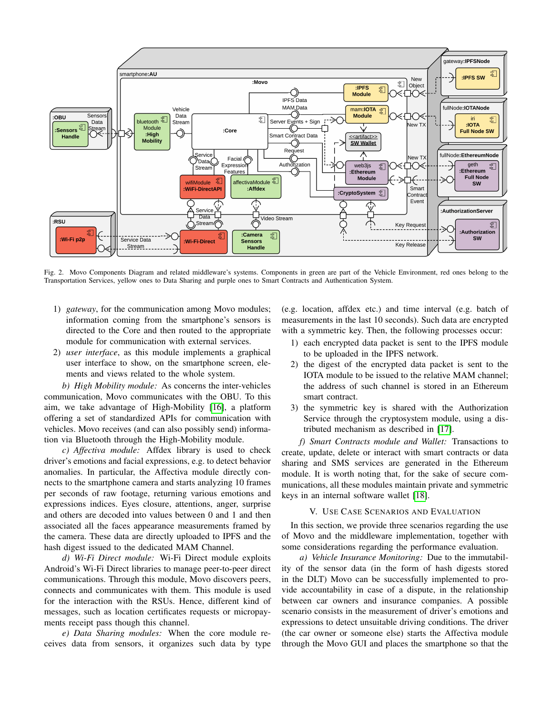

<span id="page-4-1"></span>Fig. 2. Movo Components Diagram and related middleware's systems. Components in green are part of the Vehicle Environment, red ones belong to the Transportation Services, yellow ones to Data Sharing and purple ones to Smart Contracts and Authentication System.

- 1) *gateway*, for the communication among Movo modules; information coming from the smartphone's sensors is directed to the Core and then routed to the appropriate module for communication with external services.
- 2) *user interface*, as this module implements a graphical user interface to show, on the smartphone screen, elements and views related to the whole system.

*b) High Mobility module:* As concerns the inter-vehicles communication, Movo communicates with the OBU. To this aim, we take advantage of High-Mobility [\[16\]](#page-6-16), a platform offering a set of standardized APIs for communication with vehicles. Movo receives (and can also possibly send) information via Bluetooth through the High-Mobility module.

*c) Affectiva module:* Affdex library is used to check driver's emotions and facial expressions, e.g. to detect behavior anomalies. In particular, the Affectiva module directly connects to the smartphone camera and starts analyzing 10 frames per seconds of raw footage, returning various emotions and expressions indices. Eyes closure, attentions, anger, surprise and others are decoded into values between 0 and 1 and then associated all the faces appearance measurements framed by the camera. These data are directly uploaded to IPFS and the hash digest issued to the dedicated MAM Channel.

*d) Wi-Fi Direct module:* Wi-Fi Direct module exploits Android's Wi-Fi Direct libraries to manage peer-to-peer direct communications. Through this module, Movo discovers peers, connects and communicates with them. This module is used for the interaction with the RSUs. Hence, different kind of messages, such as location certificates requests or micropayments receipt pass though this channel.

*e) Data Sharing modules:* When the core module receives data from sensors, it organizes such data by type

(e.g. location, affdex etc.) and time interval (e.g. batch of measurements in the last 10 seconds). Such data are encrypted with a symmetric key. Then, the following processes occur:

- 1) each encrypted data packet is sent to the IPFS module to be uploaded in the IPFS network.
- 2) the digest of the encrypted data packet is sent to the IOTA module to be issued to the relative MAM channel; the address of such channel is stored in an Ethereum smart contract.
- 3) the symmetric key is shared with the Authorization Service through the cryptosystem module, using a distributed mechanism as described in [\[17\]](#page-6-17).

*f) Smart Contracts module and Wallet:* Transactions to create, update, delete or interact with smart contracts or data sharing and SMS services are generated in the Ethereum module. It is worth noting that, for the sake of secure communications, all these modules maintain private and symmetric keys in an internal software wallet [\[18\]](#page-6-18).

#### V. USE CASE SCENARIOS AND EVALUATION

<span id="page-4-0"></span>In this section, we provide three scenarios regarding the use of Movo and the middleware implementation, together with some considerations regarding the performance evaluation.

*a) Vehicle Insurance Monitoring:* Due to the immutability of the sensor data (in the form of hash digests stored in the DLT) Movo can be successfully implemented to provide accountability in case of a dispute, in the relationship between car owners and insurance companies. A possible scenario consists in the measurement of driver's emotions and expressions to detect unsuitable driving conditions. The driver (the car owner or someone else) starts the Affectiva module through the Movo GUI and places the smartphone so that the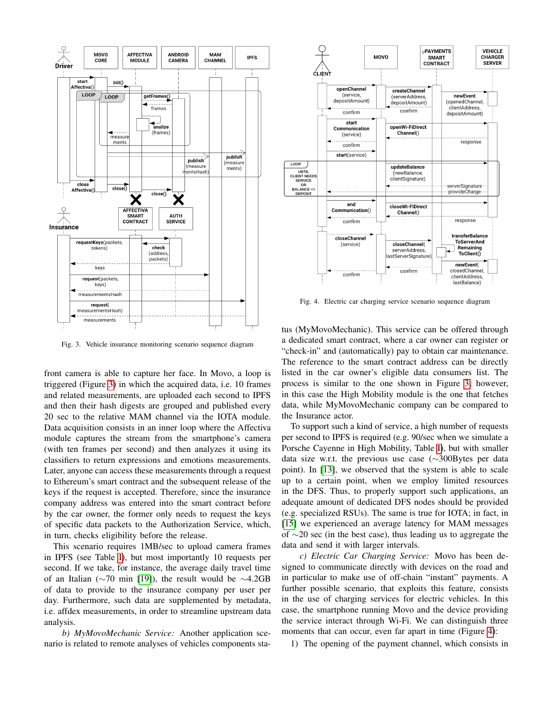

<span id="page-5-0"></span>Fig. 3. Vehicle insurance monitoring scenario sequence diagram

front camera is able to capture her face. In Movo, a loop is triggered (Figure [3\)](#page-5-0) in which the acquired data, i.e. 10 frames and related measurements, are uploaded each second to IPFS and then their hash digests are grouped and published every 20 sec to the relative MAM channel via the IOTA module. Data acquisition consists in an inner loop where the Affectiva module captures the stream from the smartphone's camera (with ten frames per second) and then analyzes it using its classifiers to return expressions and emotions measurements. Later, anyone can access these measurements through a request to Ethereum's smart contract and the subsequent release of the keys if the request is accepted. Therefore, since the insurance company address was entered into the smart contract before by the car owner, the former only needs to request the keys of specific data packets to the Authorization Service, which, in turn, checks eligibility before the release.

This scenario requires 1MB/sec to upload camera frames in IPFS (see Table [I\)](#page-6-19), but most importantly 10 requests per second. If we take, for instance, the average daily travel time of an Italian (∼70 min [\[19\]](#page-6-20)), the result would be ∼4.2GB of data to provide to the insurance company per user per day. Furthermore, such data are supplemented by metadata, i.e. affdex measurements, in order to streamline upstream data analysis.

*b) MyMovoMechanic Service:* Another application scenario is related to remote analyses of vehicles components sta-



<span id="page-5-1"></span>Fig. 4. Electric car charging service scenario sequence diagram

tus (MyMovoMechanic). This service can be offered through a dedicated smart contract, where a car owner can register or "check-in" and (automatically) pay to obtain car maintenance. The reference to the smart contract address can be directly listed in the car owner's eligible data consumers list. The process is similar to the one shown in Figure [3;](#page-5-0) however, in this case the High Mobility module is the one that fetches data, while MyMovoMechanic company can be compared to the Insurance actor.

To support such a kind of service, a high number of requests per second to IPFS is required (e.g. 90/sec when we simulate a Porsche Cayenne in High Mobility, Table [I\)](#page-6-19), but with smaller data size w.r.t. the previous use case (∼300Bytes per data point). In [\[13\]](#page-6-13), we observed that the system is able to scale up to a certain point, when we employ limited resources in the DFS. Thus, to properly support such applications, an adequate amount of dedicated DFS nodes should be provided (e.g. specialized RSUs). The same is true for IOTA; in fact, in [\[15\]](#page-6-15) we experienced an average latency for MAM messages of ∼20 sec (in the best case), thus leading us to aggregate the data and send it with larger intervals.

*c) Electric Car Charging Service:* Movo has been designed to communicate directly with devices on the road and in particular to make use of off-chain "instant" payments. A further possible scenario, that exploits this feature, consists in the use of charging services for electric vehicles. In this case, the smartphone running Movo and the device providing the service interact through Wi-Fi. We can distinguish three moments that can occur, even far apart in time (Figure [4\)](#page-5-1):

1) The opening of the payment channel, which consists in